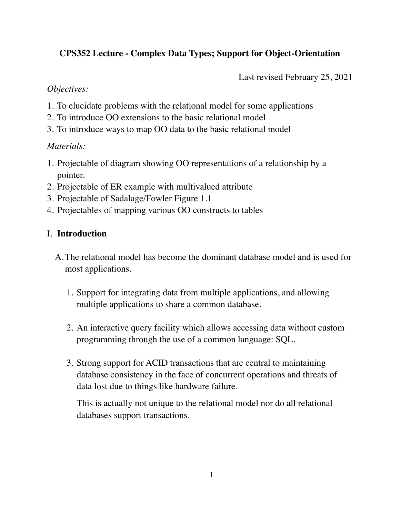# **CPS352 Lecture - Complex Data Types; Support for Object-Orientation**

Last revised February 25, 2021

### *Objectives:*

- 1. To elucidate problems with the relational model for some applications
- 2. To introduce OO extensions to the basic relational model
- 3. To introduce ways to map OO data to the basic relational model

## *Materials:*

- 1. Projectable of diagram showing OO representations of a relationship by a pointer.
- 2. Projectable of ER example with multivalued attribute
- 3. Projectable of Sadalage/Fowler Figure 1.1
- 4. Projectables of mapping various OO constructs to tables

## I. **Introduction**

- A.The relational model has become the dominant database model and is used for most applications.
	- 1. Support for integrating data from multiple applications, and allowing multiple applications to share a common database.
	- 2. An interactive query facility which allows accessing data without custom programming through the use of a common language: SQL.
	- 3. Strong support for ACID transactions that are central to maintaining database consistency in the face of concurrent operations and threats of data lost due to things like hardware failure.

This is actually not unique to the relational model nor do all relational databases support transactions.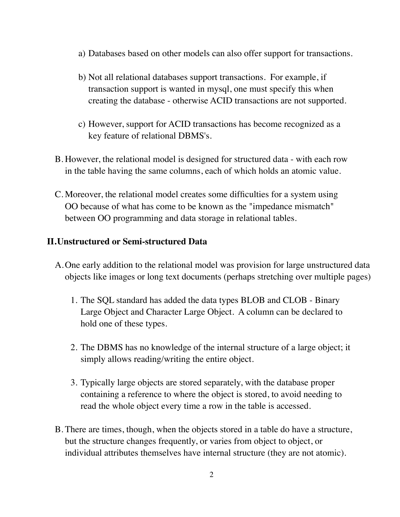- a) Databases based on other models can also offer support for transactions.
- b) Not all relational databases support transactions. For example, if transaction support is wanted in mysql, one must specify this when creating the database - otherwise ACID transactions are not supported.
- c) However, support for ACID transactions has become recognized as a key feature of relational DBMS's.
- B. However, the relational model is designed for structured data with each row in the table having the same columns, each of which holds an atomic value.
- C. Moreover, the relational model creates some difficulties for a system using OO because of what has come to be known as the "impedance mismatch" between OO programming and data storage in relational tables.

#### **II.Unstructured or Semi-structured Data**

- A.One early addition to the relational model was provision for large unstructured data objects like images or long text documents (perhaps stretching over multiple pages)
	- 1. The SQL standard has added the data types BLOB and CLOB Binary Large Object and Character Large Object. A column can be declared to hold one of these types.
	- 2. The DBMS has no knowledge of the internal structure of a large object; it simply allows reading/writing the entire object.
	- 3. Typically large objects are stored separately, with the database proper containing a reference to where the object is stored, to avoid needing to read the whole object every time a row in the table is accessed.
- B. There are times, though, when the objects stored in a table do have a structure, but the structure changes frequently, or varies from object to object, or individual attributes themselves have internal structure (they are not atomic).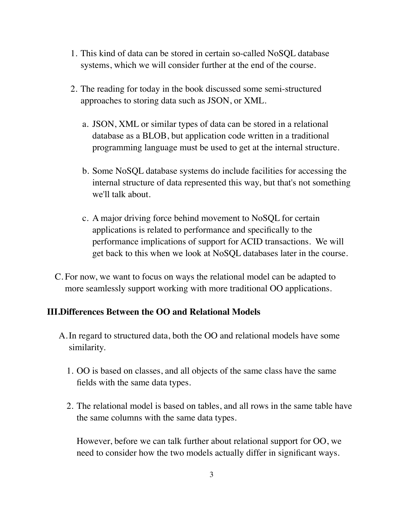- 1. This kind of data can be stored in certain so-called NoSQL database systems, which we will consider further at the end of the course.
- 2. The reading for today in the book discussed some semi-structured approaches to storing data such as JSON, or XML.
	- a. JSON, XML or similar types of data can be stored in a relational database as a BLOB, but application code written in a traditional programming language must be used to get at the internal structure.
	- b. Some NoSQL database systems do include facilities for accessing the internal structure of data represented this way, but that's not something we'll talk about.
	- c. A major driving force behind movement to NoSQL for certain applications is related to performance and specifically to the performance implications of support for ACID transactions. We will get back to this when we look at NoSQL databases later in the course.
- C. For now, we want to focus on ways the relational model can be adapted to more seamlessly support working with more traditional OO applications.

#### **III.Differences Between the OO and Relational Models**

- A.In regard to structured data, both the OO and relational models have some similarity.
	- 1. OO is based on classes, and all objects of the same class have the same fields with the same data types.
	- 2. The relational model is based on tables, and all rows in the same table have the same columns with the same data types.

However, before we can talk further about relational support for OO, we need to consider how the two models actually differ in significant ways.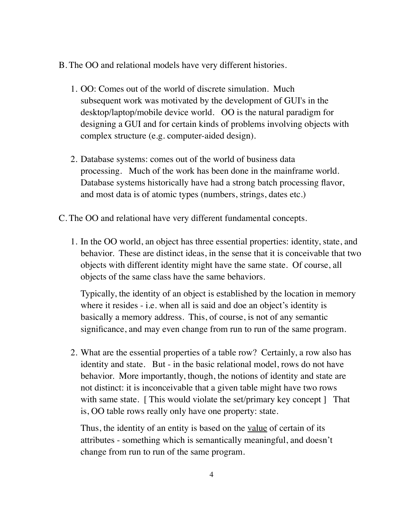- B. The OO and relational models have very different histories.
	- 1. OO: Comes out of the world of discrete simulation. Much subsequent work was motivated by the development of GUI's in the desktop/laptop/mobile device world. OO is the natural paradigm for designing a GUI and for certain kinds of problems involving objects with complex structure (e.g. computer-aided design).
	- 2. Database systems: comes out of the world of business data processing. Much of the work has been done in the mainframe world. Database systems historically have had a strong batch processing flavor, and most data is of atomic types (numbers, strings, dates etc.)
- C. The OO and relational have very different fundamental concepts.
	- 1. In the OO world, an object has three essential properties: identity, state, and behavior. These are distinct ideas, in the sense that it is conceivable that two objects with different identity might have the same state. Of course, all objects of the same class have the same behaviors.

Typically, the identity of an object is established by the location in memory where it resides - i.e. when all is said and doe an object's identity is basically a memory address. This, of course, is not of any semantic significance, and may even change from run to run of the same program.

2. What are the essential properties of a table row? Certainly, a row also has identity and state. But - in the basic relational model, rows do not have behavior. More importantly, though, the notions of identity and state are not distinct: it is inconceivable that a given table might have two rows with same state. [This would violate the set/primary key concept ] That is, OO table rows really only have one property: state.

Thus, the identity of an entity is based on the <u>value</u> of certain of its attributes - something which is semantically meaningful, and doesn't change from run to run of the same program.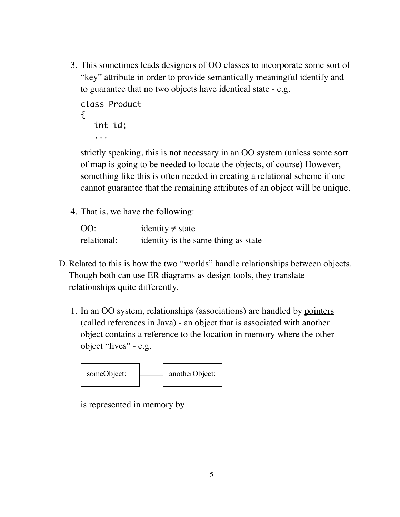3. This sometimes leads designers of OO classes to incorporate some sort of "key" attribute in order to provide semantically meaningful identify and to guarantee that no two objects have identical state - e.g.

```
class Product
{
   int id;
   ...
```
strictly speaking, this is not necessary in an OO system (unless some sort of map is going to be needed to locate the objects, of course) However, something like this is often needed in creating a relational scheme if one cannot guarantee that the remaining attributes of an object will be unique.

4. That is, we have the following:

| OO:         | identity $\neq$ state               |
|-------------|-------------------------------------|
| relational: | identity is the same thing as state |

- D.Related to this is how the two "worlds" handle relationships between objects. Though both can use ER diagrams as design tools, they translate relationships quite differently.
	- 1. In an OO system, relationships (associations) are handled by pointers (called references in Java) - an object that is associated with another object contains a reference to the location in memory where the other object "lives" - e.g.



is represented in memory by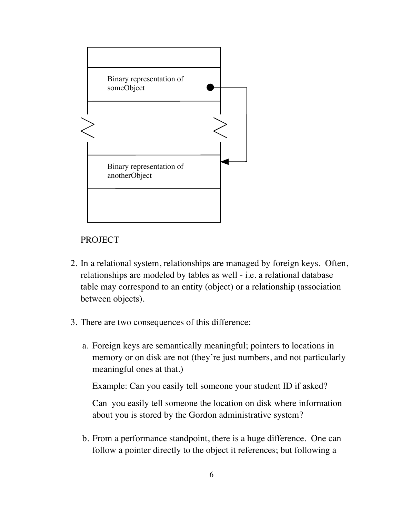

## PROJECT

- 2. In a relational system, relationships are managed by <u>foreign keys</u>. Often, relationships are modeled by tables as well - i.e. a relational database table may correspond to an entity (object) or a relationship (association between objects).
- 3. There are two consequences of this difference:
	- a. Foreign keys are semantically meaningful; pointers to locations in memory or on disk are not (they're just numbers, and not particularly meaningful ones at that.)

Example: Can you easily tell someone your student ID if asked?

Can you easily tell someone the location on disk where information about you is stored by the Gordon administrative system?

b. From a performance standpoint, there is a huge difference. One can follow a pointer directly to the object it references; but following a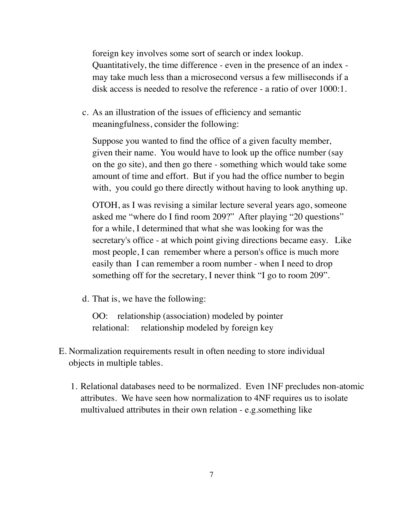foreign key involves some sort of search or index lookup. Quantitatively, the time difference - even in the presence of an index may take much less than a microsecond versus a few milliseconds if a disk access is needed to resolve the reference - a ratio of over 1000:1.

c. As an illustration of the issues of efficiency and semantic meaningfulness, consider the following:

Suppose you wanted to find the office of a given faculty member, given their name. You would have to look up the office number (say on the go site), and then go there - something which would take some amount of time and effort. But if you had the office number to begin with, you could go there directly without having to look anything up.

OTOH, as I was revising a similar lecture several years ago, someone asked me "where do I find room 209?" After playing "20 questions" for a while, I determined that what she was looking for was the secretary's office - at which point giving directions became easy. Like most people, I can remember where a person's office is much more easily than I can remember a room number - when I need to drop something off for the secretary, I never think "I go to room 209".

d. That is, we have the following:

OO: relationship (association) modeled by pointer relational: relationship modeled by foreign key

- E. Normalization requirements result in often needing to store individual objects in multiple tables.
	- 1. Relational databases need to be normalized. Even 1NF precludes non-atomic attributes. We have seen how normalization to 4NF requires us to isolate multivalued attributes in their own relation - e.g.something like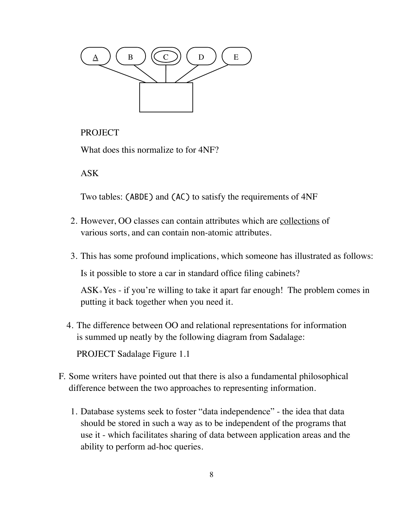

### **PROJECT**

What does this normalize to for 4NF?

ASK

Two tables: (ABDE) and (AC) to satisfy the requirements of 4NF

- 2. However, OO classes can contain attributes which are collections of various sorts, and can contain non-atomic attributes.
- 3. This has some profound implications, which someone has illustrated as follows:

Is it possible to store a car in standard office filing cabinets?

 $ASK<sub>0</sub> Yes - if you're willing to take it apart far enough! The problem comes in$ putting it back together when you need it.

- 4. The difference between OO and relational representations for information is summed up neatly by the following diagram from Sadalage: PROJECT Sadalage Figure 1.1
- F. Some writers have pointed out that there is also a fundamental philosophical difference between the two approaches to representing information.
	- 1. Database systems seek to foster "data independence" the idea that data should be stored in such a way as to be independent of the programs that use it - which facilitates sharing of data between application areas and the ability to perform ad-hoc queries.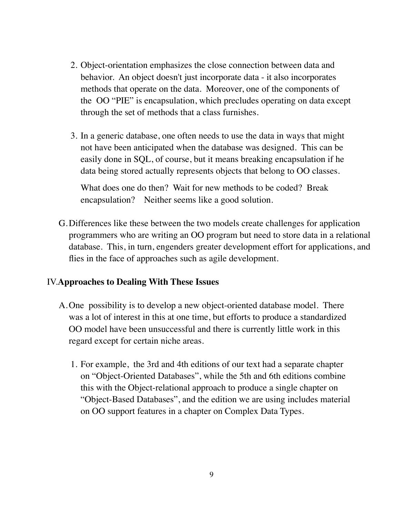- 2. Object-orientation emphasizes the close connection between data and behavior. An object doesn't just incorporate data - it also incorporates methods that operate on the data. Moreover, one of the components of the OO "PIE" is encapsulation, which precludes operating on data except through the set of methods that a class furnishes.
- 3. In a generic database, one often needs to use the data in ways that might not have been anticipated when the database was designed. This can be easily done in SQL, of course, but it means breaking encapsulation if he data being stored actually represents objects that belong to OO classes.

What does one do then? Wait for new methods to be coded? Break encapsulation? Neither seems like a good solution.

G.Differences like these between the two models create challenges for application programmers who are writing an OO program but need to store data in a relational database. This, in turn, engenders greater development effort for applications, and flies in the face of approaches such as agile development.

#### IV.**Approaches to Dealing With These Issues**

- A.One possibility is to develop a new object-oriented database model. There was a lot of interest in this at one time, but efforts to produce a standardized OO model have been unsuccessful and there is currently little work in this regard except for certain niche areas.
	- 1. For example, the 3rd and 4th editions of our text had a separate chapter on "Object-Oriented Databases", while the 5th and 6th editions combine this with the Object-relational approach to produce a single chapter on "Object-Based Databases", and the edition we are using includes material on OO support features in a chapter on Complex Data Types.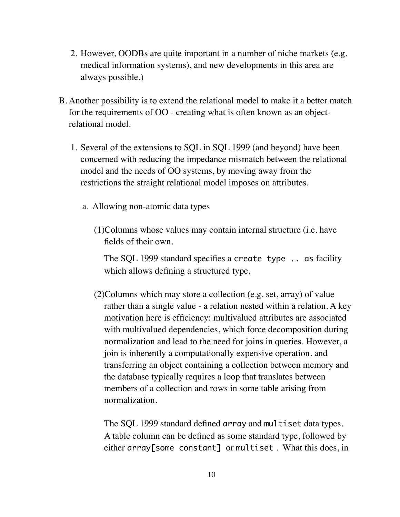- 2. However, OODBs are quite important in a number of niche markets (e.g. medical information systems), and new developments in this area are always possible.)
- B. Another possibility is to extend the relational model to make it a better match for the requirements of OO - creating what is often known as an objectrelational model.
	- 1. Several of the extensions to SQL in SQL 1999 (and beyond) have been concerned with reducing the impedance mismatch between the relational model and the needs of OO systems, by moving away from the restrictions the straight relational model imposes on attributes.
		- a. Allowing non-atomic data types
			- (1)Columns whose values may contain internal structure (i.e. have fields of their own.

The SQL 1999 standard specifies a create type .. as facility which allows defining a structured type.

(2)Columns which may store a collection (e.g. set, array) of value rather than a single value - a relation nested within a relation. A key motivation here is efficiency: multivalued attributes are associated with multivalued dependencies, which force decomposition during normalization and lead to the need for joins in queries. However, a join is inherently a computationally expensive operation. and transferring an object containing a collection between memory and the database typically requires a loop that translates between members of a collection and rows in some table arising from normalization.

The SQL 1999 standard defined array and multiset data types. A table column can be defined as some standard type, followed by either array[some constant] or multiset . What this does, in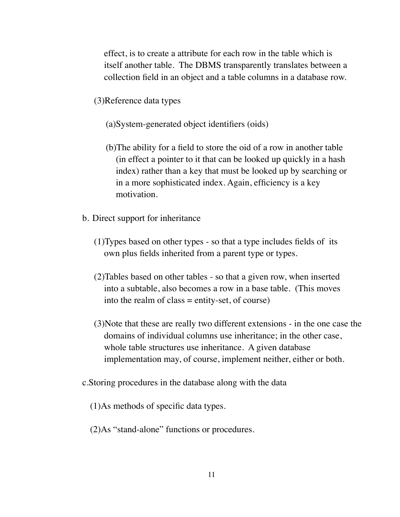effect, is to create a attribute for each row in the table which is itself another table. The DBMS transparently translates between a collection field in an object and a table columns in a database row.

- (3)Reference data types
	- (a)System-generated object identifiers (oids)
	- (b)The ability for a field to store the oid of a row in another table (in effect a pointer to it that can be looked up quickly in a hash index) rather than a key that must be looked up by searching or in a more sophisticated index. Again, efficiency is a key motivation.
- b. Direct support for inheritance
	- (1)Types based on other types so that a type includes fields of its own plus fields inherited from a parent type or types.
	- (2)Tables based on other tables so that a given row, when inserted into a subtable, also becomes a row in a base table. (This moves into the realm of class  $=$  entity-set, of course)
	- (3)Note that these are really two different extensions in the one case the domains of individual columns use inheritance; in the other case, whole table structures use inheritance. A given database implementation may, of course, implement neither, either or both.
- c.Storing procedures in the database along with the data
	- (1)As methods of specific data types.
	- (2)As "stand-alone" functions or procedures.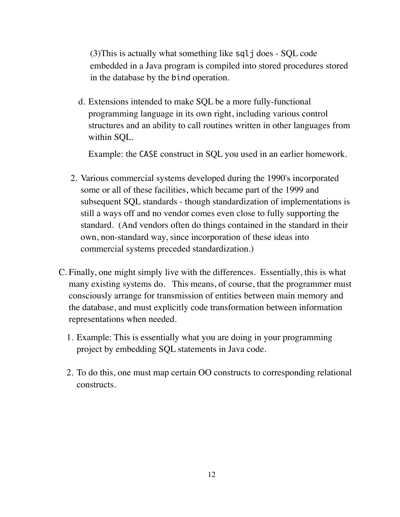(3)This is actually what something like sqlj does - SQL code embedded in a Java program is compiled into stored procedures stored in the database by the bind operation.

d. Extensions intended to make SQL be a more fully-functional programming language in its own right, including various control structures and an ability to call routines written in other languages from within SQL.

Example: the CASE construct in SQL you used in an earlier homework.

- 2. Various commercial systems developed during the 1990's incorporated some or all of these facilities, which became part of the 1999 and subsequent SQL standards - though standardization of implementations is still a ways off and no vendor comes even close to fully supporting the standard. (And vendors often do things contained in the standard in their own, non-standard way, since incorporation of these ideas into commercial systems preceded standardization.)
- C. Finally, one might simply live with the differences. Essentially, this is what many existing systems do. This means, of course, that the programmer must consciously arrange for transmission of entities between main memory and the database, and must explicitly code transformation between information representations when needed.
	- 1. Example: This is essentially what you are doing in your programming project by embedding SQL statements in Java code.
	- 2. To do this, one must map certain OO constructs to corresponding relational constructs.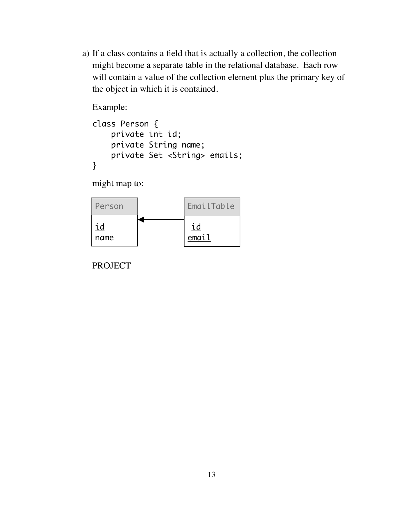a) If a class contains a field that is actually a collection, the collection might become a separate table in the relational database. Each row will contain a value of the collection element plus the primary key of the object in which it is contained.

Example:

```
class Person {
     private int id;
     private String name;
     private Set <String> emails;
}
```
might map to:



PROJECT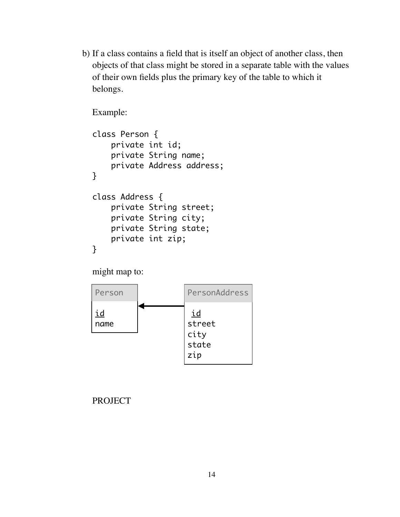b) If a class contains a field that is itself an object of another class, then objects of that class might be stored in a separate table with the values of their own fields plus the primary key of the table to which it belongs.

Example:

```
class Person {
     private int id;
     private String name;
     private Address address;
}
class Address {
     private String street;
     private String city;
     private String state;
     private int zip;
}
```
might map to:



#### PROJECT